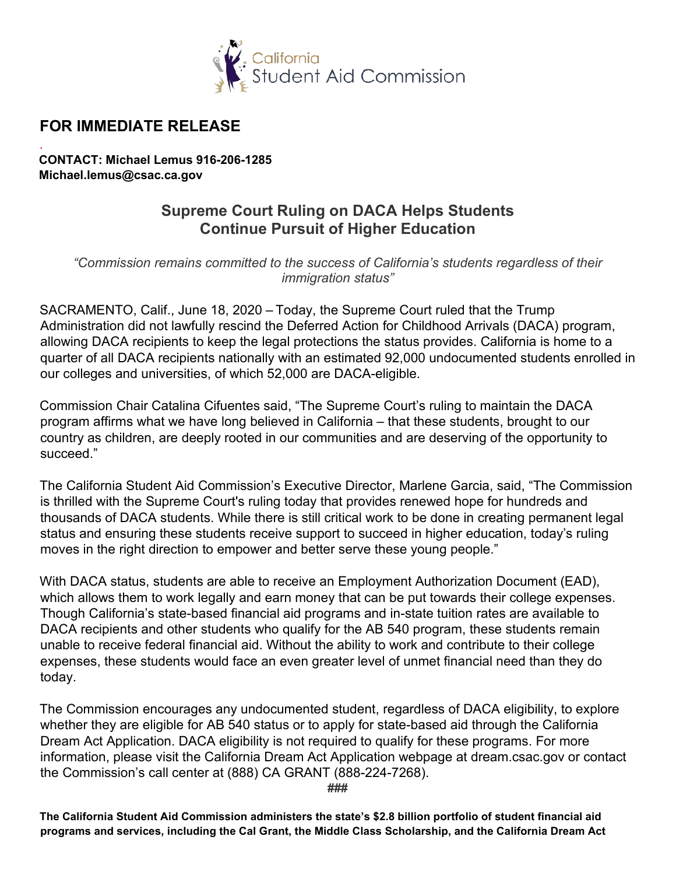

## **FOR IMMEDIATE RELEASE**

*.* **CONTACT: Michael Lemus 916-206-1285 [Michael.lemus@csac.ca.gov](mailto:Michael.lemus@csac.ca.gov)** 

## **Supreme Court Ruling on DACA Helps Students Continue Pursuit of Higher Education**

 *"Commission remains committed to the success of California's students regardless of their immigration status"* 

 SACRAMENTO, Calif., June 18, 2020 – Today, the Supreme Court ruled that the Trump quarter of all DACA recipients nationally with an estimated 92,000 undocumented students enrolled in Administration did not lawfully rescind the Deferred Action for Childhood Arrivals (DACA) program, allowing DACA recipients to keep the legal protections the status provides. California is home to a our colleges and universities, of which 52,000 are DACA-eligible.

Commission Chair Catalina Cifuentes said, "The Supreme Court's ruling to maintain the DACA program affirms what we have long believed in California – that these students, brought to our country as children, are deeply rooted in our communities and are deserving of the opportunity to succeed."

 is thrilled with the Supreme Court's ruling today that provides renewed hope for hundreds and The California Student Aid Commission's Executive Director, Marlene Garcia, said, "The Commission thousands of DACA students. While there is still critical work to be done in creating permanent legal status and ensuring these students receive support to succeed in higher education, today's ruling moves in the right direction to empower and better serve these young people."

 expenses, these students would face an even greater level of unmet financial need than they do With DACA status, students are able to receive an Employment Authorization Document (EAD), which allows them to work legally and earn money that can be put towards their college expenses. Though California's state-based financial aid programs and in-state tuition rates are available to DACA recipients and other students who qualify for the AB 540 program, these students remain unable to receive federal financial aid. Without the ability to work and contribute to their college today.

 The Commission encourages any undocumented student, regardless of DACA eligibility, to explore whether they are eligible for AB 540 status or to apply for state-based aid through the California information, please visit the California Dream Act Application webpage at [dream.csac.gov](https://dream.csac.gov) or contact the Commission's call center at (888) CA GRANT (888-224-7268). Dream Act Application. DACA eligibility is not required to qualify for these programs. For more

**###** 

**The California Student Aid Commission administers the state's \$2.8 billion portfolio of student financial aid programs and services, including the Cal Grant, the Middle Class Scholarship, and the California Dream Act**